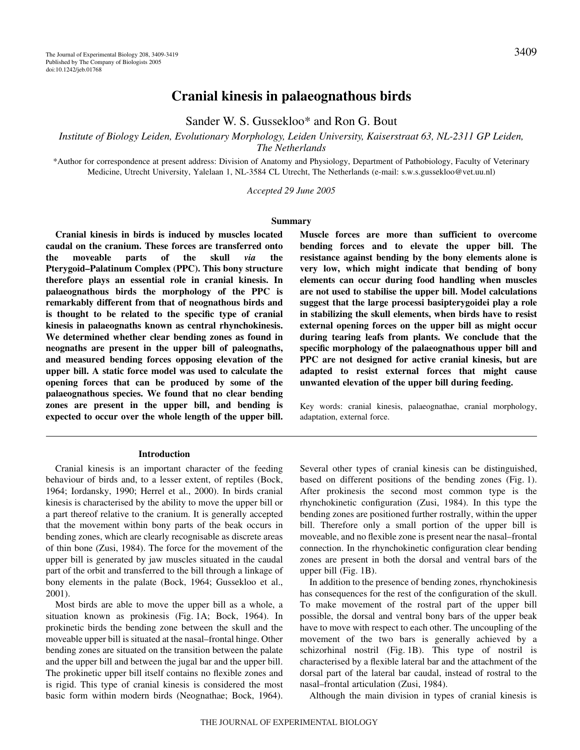# **Cranial kinesis in palaeognathous birds**

Sander W. S. Gussekloo\* and Ron G. Bout

*Institute of Biology Leiden, Evolutionary Morphology, Leiden University, Kaiserstraat 63, NL-2311 GP Leiden, The Netherlands*

\*Author for correspondence at present address: Division of Anatomy and Physiology, Department of Pathobiology, Faculty of Veterinary Medicine, Utrecht University, Yalelaan 1, NL-3584 CL Utrecht, The Netherlands (e-mail: s.w.s.gussekloo@vet.uu.nl)

*Accepted 29 June 2005*

#### **Summary**

**Cranial kinesis in birds is induced by muscles located caudal on the cranium. These forces are transferred onto the moveable parts of the skull** *via* **the Pterygoid–Palatinum Complex (PPC). This bony structure therefore plays an essential role in cranial kinesis. In palaeognathous birds the morphology of the PPC is remarkably different from that of neognathous birds and is thought to be related to the specific type of cranial kinesis in palaeognaths known as central rhynchokinesis. We determined whether clear bending zones as found in neognaths are present in the upper bill of paleognaths, and measured bending forces opposing elevation of the upper bill. A static force model was used to calculate the opening forces that can be produced by some of the palaeognathous species. We found that no clear bending zones are present in the upper bill, and bending is expected to occur over the whole length of the upper bill.**

#### **Introduction**

Cranial kinesis is an important character of the feeding behaviour of birds and, to a lesser extent, of reptiles (Bock, 1964; Iordansky, 1990; Herrel et al., 2000). In birds cranial kinesis is characterised by the ability to move the upper bill or a part thereof relative to the cranium. It is generally accepted that the movement within bony parts of the beak occurs in bending zones, which are clearly recognisable as discrete areas of thin bone (Zusi, 1984). The force for the movement of the upper bill is generated by jaw muscles situated in the caudal part of the orbit and transferred to the bill through a linkage of bony elements in the palate (Bock, 1964; Gussekloo et al., 2001).

Most birds are able to move the upper bill as a whole, a situation known as prokinesis (Fig. 1A; Bock, 1964). In prokinetic birds the bending zone between the skull and the moveable upper bill is situated at the nasal–frontal hinge. Other bending zones are situated on the transition between the palate and the upper bill and between the jugal bar and the upper bill. The prokinetic upper bill itself contains no flexible zones and is rigid. This type of cranial kinesis is considered the most basic form within modern birds (Neognathae; Bock, 1964).

**Muscle forces are more than sufficient to overcome bending forces and to elevate the upper bill. The resistance against bending by the bony elements alone is very low, which might indicate that bending of bony elements can occur during food handling when muscles are not used to stabilise the upper bill. Model calculations suggest that the large processi basipterygoidei play a role in stabilizing the skull elements, when birds have to resist external opening forces on the upper bill as might occur during tearing leafs from plants. We conclude that the specific morphology of the palaeognathous upper bill and PPC are not designed for active cranial kinesis, but are adapted to resist external forces that might cause unwanted elevation of the upper bill during feeding.**

Key words: cranial kinesis, palaeognathae, cranial morphology, adaptation, external force.

Several other types of cranial kinesis can be distinguished, based on different positions of the bending zones (Fig. 1). After prokinesis the second most common type is the rhynchokinetic configuration (Zusi, 1984). In this type the bending zones are positioned further rostrally, within the upper bill. Therefore only a small portion of the upper bill is moveable, and no flexible zone is present near the nasal–frontal connection. In the rhynchokinetic configuration clear bending zones are present in both the dorsal and ventral bars of the upper bill (Fig.  $1B$ ).

In addition to the presence of bending zones, rhynchokinesis has consequences for the rest of the configuration of the skull. To make movement of the rostral part of the upper bill possible, the dorsal and ventral bony bars of the upper beak have to move with respect to each other. The uncoupling of the movement of the two bars is generally achieved by a schizorhinal nostril (Fig. 1B). This type of nostril is characterised by a flexible lateral bar and the attachment of the dorsal part of the lateral bar caudal, instead of rostral to the nasal–frontal articulation (Zusi, 1984).

Although the main division in types of cranial kinesis is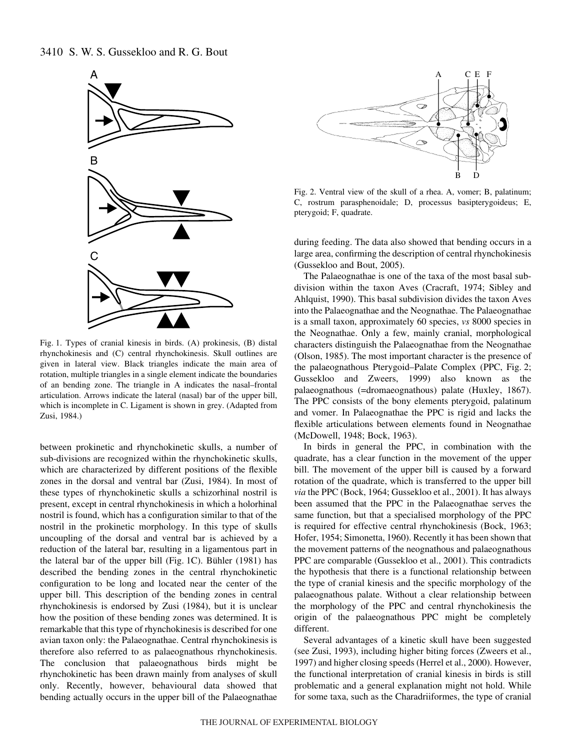# 3410 S. W. S. Gussekloo and R. G. Bout



Fig. 1. Types of cranial kinesis in birds. (A) prokinesis, (B) distal rhynchokinesis and (C) central rhynchokinesis. Skull outlines are given in lateral view. Black triangles indicate the main area of rotation, multiple triangles in a single element indicate the boundaries of an bending zone. The triangle in A indicates the nasal–frontal articulation. Arrows indicate the lateral (nasal) bar of the upper bill, which is incomplete in C. Ligament is shown in grey. (Adapted from Zusi, 1984.)

between prokinetic and rhynchokinetic skulls, a number of sub-divisions are recognized within the rhynchokinetic skulls, which are characterized by different positions of the flexible zones in the dorsal and ventral bar (Zusi, 1984). In most of these types of rhynchokinetic skulls a schizorhinal nostril is present, except in central rhynchokinesis in which a holorhinal nostril is found, which has a configuration similar to that of the nostril in the prokinetic morphology. In this type of skulls uncoupling of the dorsal and ventral bar is achieved by a reduction of the lateral bar, resulting in a ligamentous part in the lateral bar of the upper bill (Fig. 1C). Bühler (1981) has described the bending zones in the central rhynchokinetic configuration to be long and located near the center of the upper bill. This description of the bending zones in central rhynchokinesis is endorsed by Zusi (1984), but it is unclear how the position of these bending zones was determined. It is remarkable that this type of rhynchokinesis is described for one avian taxon only: the Palaeognathae. Central rhynchokinesis is therefore also referred to as palaeognathous rhynchokinesis. The conclusion that palaeognathous birds might be rhynchokinetic has been drawn mainly from analyses of skull only. Recently, however, behavioural data showed that bending actually occurs in the upper bill of the Palaeognathae



Fig. 2. Ventral view of the skull of a rhea. A, vomer; B, palatinum; C, rostrum parasphenoidale; D, processus basipterygoideus; E, pterygoid; F, quadrate.

during feeding. The data also showed that bending occurs in a large area, confirming the description of central rhynchokinesis (Gussekloo and Bout, 2005).

The Palaeognathae is one of the taxa of the most basal subdivision within the taxon Aves (Cracraft, 1974; Sibley and Ahlquist, 1990). This basal subdivision divides the taxon Aves into the Palaeognathae and the Neognathae. The Palaeognathae is a small taxon, approximately 60 species, *vs* 8000 species in the Neognathae. Only a few, mainly cranial, morphological characters distinguish the Palaeognathae from the Neognathae (Olson, 1985). The most important character is the presence of the palaeognathous Pterygoid–Palate Complex (PPC, Fig. 2; Gussekloo and Zweers, 1999) also known as the palaeognathous (=dromaeognathous) palate (Huxley, 1867). The PPC consists of the bony elements pterygoid, palatinum and vomer. In Palaeognathae the PPC is rigid and lacks the flexible articulations between elements found in Neognathae (McDowell, 1948; Bock, 1963).

In birds in general the PPC, in combination with the quadrate, has a clear function in the movement of the upper bill. The movement of the upper bill is caused by a forward rotation of the quadrate, which is transferred to the upper bill *via* the PPC (Bock, 1964; Gussekloo et al., 2001). It has always been assumed that the PPC in the Palaeognathae serves the same function, but that a specialised morphology of the PPC is required for effective central rhynchokinesis (Bock, 1963; Hofer, 1954; Simonetta, 1960). Recently it has been shown that the movement patterns of the neognathous and palaeognathous PPC are comparable (Gussekloo et al., 2001). This contradicts the hypothesis that there is a functional relationship between the type of cranial kinesis and the specific morphology of the palaeognathous palate. Without a clear relationship between the morphology of the PPC and central rhynchokinesis the origin of the palaeognathous PPC might be completely different.

Several advantages of a kinetic skull have been suggested (see Zusi, 1993), including higher biting forces (Zweers et al., 1997) and higher closing speeds (Herrel et al., 2000). However, the functional interpretation of cranial kinesis in birds is still problematic and a general explanation might not hold. While for some taxa, such as the Charadriiformes, the type of cranial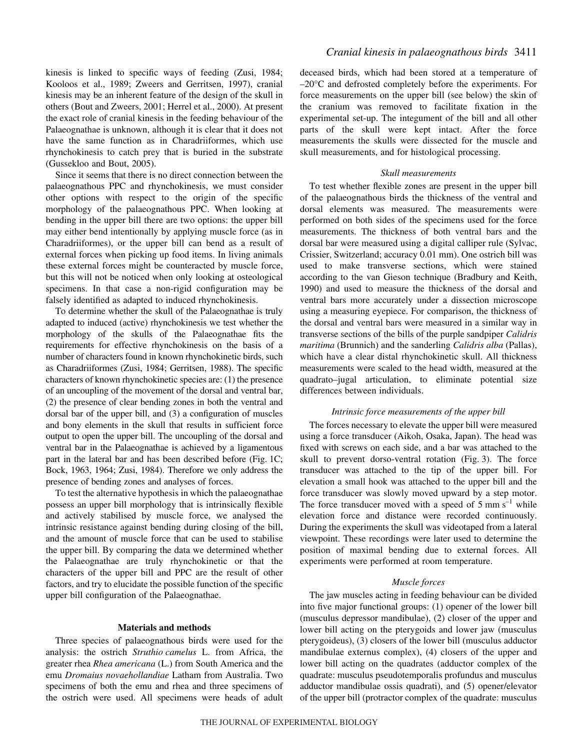kinesis is linked to specific ways of feeding (Zusi, 1984; Kooloos et al., 1989; Zweers and Gerritsen, 1997), cranial kinesis may be an inherent feature of the design of the skull in others (Bout and Zweers, 2001; Herrel et al., 2000). At present the exact role of cranial kinesis in the feeding behaviour of the Palaeognathae is unknown, although it is clear that it does not have the same function as in Charadriiformes, which use rhynchokinesis to catch prey that is buried in the substrate (Gussekloo and Bout, 2005).

Since it seems that there is no direct connection between the palaeognathous PPC and rhynchokinesis, we must consider other options with respect to the origin of the specific morphology of the palaeognathous PPC. When looking at bending in the upper bill there are two options: the upper bill may either bend intentionally by applying muscle force (as in Charadriiformes), or the upper bill can bend as a result of external forces when picking up food items. In living animals these external forces might be counteracted by muscle force, but this will not be noticed when only looking at osteological specimens. In that case a non-rigid configuration may be falsely identified as adapted to induced rhynchokinesis.

To determine whether the skull of the Palaeognathae is truly adapted to induced (active) rhynchokinesis we test whether the morphology of the skulls of the Palaeognathae fits the requirements for effective rhynchokinesis on the basis of a number of characters found in known rhynchokinetic birds, such as Charadriiformes (Zusi, 1984; Gerritsen, 1988). The specific characters of known rhynchokinetic species are: (1) the presence of an uncoupling of the movement of the dorsal and ventral bar, (2) the presence of clear bending zones in both the ventral and dorsal bar of the upper bill, and (3) a configuration of muscles and bony elements in the skull that results in sufficient force output to open the upper bill. The uncoupling of the dorsal and ventral bar in the Palaeognathae is achieved by a ligamentous part in the lateral bar and has been described before (Fig. 1C; Bock, 1963, 1964; Zusi, 1984). Therefore we only address the presence of bending zones and analyses of forces.

To test the alternative hypothesis in which the palaeognathae possess an upper bill morphology that is intrinsically flexible and actively stabilised by muscle force, we analysed the intrinsic resistance against bending during closing of the bill, and the amount of muscle force that can be used to stabilise the upper bill. By comparing the data we determined whether the Palaeognathae are truly rhynchokinetic or that the characters of the upper bill and PPC are the result of other factors, and try to elucidate the possible function of the specific upper bill configuration of the Palaeognathae.

### **Materials and methods**

Three species of palaeognathous birds were used for the analysis: the ostrich *Struthio camelus* L. from Africa, the greater rhea *Rhea americana* (L.) from South America and the emu *Dromaius novaehollandiae* Latham from Australia. Two specimens of both the emu and rhea and three specimens of the ostrich were used. All specimens were heads of adult

# *Cranial kinesis in palaeognathous birds* 3411

deceased birds, which had been stored at a temperature of –20°C and defrosted completely before the experiments. For force measurements on the upper bill (see below) the skin of the cranium was removed to facilitate fixation in the experimental set-up. The integument of the bill and all other parts of the skull were kept intact. After the force measurements the skulls were dissected for the muscle and skull measurements, and for histological processing.

## *Skull measurements*

To test whether flexible zones are present in the upper bill of the palaeognathous birds the thickness of the ventral and dorsal elements was measured. The measurements were performed on both sides of the specimens used for the force measurements. The thickness of both ventral bars and the dorsal bar were measured using a digital calliper rule (Sylvac, Crissier, Switzerland; accuracy 0.01 mm). One ostrich bill was used to make transverse sections, which were stained according to the van Gieson technique (Bradbury and Keith, 1990) and used to measure the thickness of the dorsal and ventral bars more accurately under a dissection microscope using a measuring eyepiece. For comparison, the thickness of the dorsal and ventral bars were measured in a similar way in transverse sections of the bills of the purple sandpiper *Calidris maritima* (Brunnich) and the sanderling *Calidris alba* (Pallas), which have a clear distal rhynchokinetic skull. All thickness measurements were scaled to the head width, measured at the quadrato–jugal articulation, to eliminate potential size differences between individuals.

### *Intrinsic force measurements of the upper bill*

The forces necessary to elevate the upper bill were measured using a force transducer (Aikoh, Osaka, Japan). The head was fixed with screws on each side, and a bar was attached to the skull to prevent dorso-ventral rotation (Fig. 3). The force transducer was attached to the tip of the upper bill. For elevation a small hook was attached to the upper bill and the force transducer was slowly moved upward by a step motor. The force transducer moved with a speed of  $5 \text{ mm s}^{-1}$  while elevation force and distance were recorded continuously. During the experiments the skull was videotaped from a lateral viewpoint. These recordings were later used to determine the position of maximal bending due to external forces. All experiments were performed at room temperature.

## *Muscle forces*

The jaw muscles acting in feeding behaviour can be divided into five major functional groups: (1) opener of the lower bill (musculus depressor mandibulae), (2) closer of the upper and lower bill acting on the pterygoids and lower jaw (musculus pterygoideus), (3) closers of the lower bill (musculus adductor mandibulae externus complex), (4) closers of the upper and lower bill acting on the quadrates (adductor complex of the quadrate: musculus pseudotemporalis profundus and musculus adductor mandibulae ossis quadrati), and (5) opener/elevator of the upper bill (protractor complex of the quadrate: musculus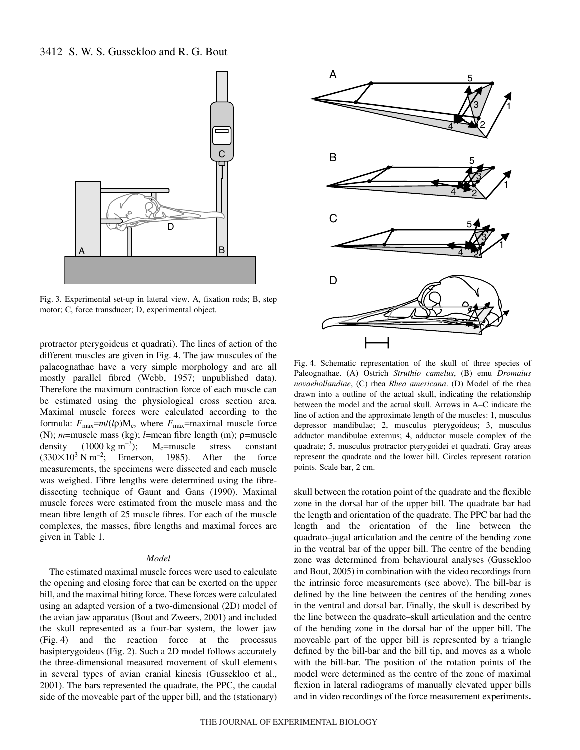

Fig. 3. Experimental set-up in lateral view. A, fixation rods; B, step motor; C, force transducer; D, experimental object.

protractor pterygoideus et quadrati). The lines of action of the different muscles are given in Fig. 4. The jaw muscules of the palaeognathae have a very simple morphology and are all mostly parallel fibred (Webb, 1957; unpublished data). Therefore the maximum contraction force of each muscle can be estimated using the physiological cross section area. Maximal muscle forces were calculated according to the formula:  $F_{\text{max}}=m/(l\rho)M_c$ , where  $F_{\text{max}}=m\alpha$  muscle force (N); *m*=muscle mass (kg); *l*=mean fibre length (m); ρ=muscle density  $(1000 \text{ kg m}^{-3})$ ; M<sub>c</sub>=muscle stress constant  $(330\times10^3\,\mathrm{N}\,\mathrm{m}^{-2})$ ; Emerson, 1985). After the force measurements, the specimens were dissected and each muscle was weighed. Fibre lengths were determined using the fibredissecting technique of Gaunt and Gans (1990). Maximal muscle forces were estimated from the muscle mass and the mean fibre length of 25 muscle fibres. For each of the muscle complexes, the masses, fibre lengths and maximal forces are given in Table 1.

### *Model*

The estimated maximal muscle forces were used to calculate the opening and closing force that can be exerted on the upper bill, and the maximal biting force. These forces were calculated using an adapted version of a two-dimensional (2D) model of the avian jaw apparatus (Bout and Zweers, 2001) and included the skull represented as a four-bar system, the lower jaw (Fig. 4) and the reaction force at the processus basipterygoideus (Fig. 2). Such a 2D model follows accurately the three-dimensional measured movement of skull elements in several types of avian cranial kinesis (Gussekloo et al., 2001). The bars represented the quadrate, the PPC, the caudal side of the moveable part of the upper bill, and the (stationary)



Fig. 4. Schematic representation of the skull of three species of Paleognathae. (A) Ostrich *Struthio camelus*, (B) emu *Dromaius novaehollandiae*, (C) rhea *Rhea americana*. (D) Model of the rhea drawn into a outline of the actual skull, indicating the relationship between the model and the actual skull. Arrows in A–C indicate the line of action and the approximate length of the muscles: 1, musculus depressor mandibulae; 2, musculus pterygoideus; 3, musculus adductor mandibulae externus; 4, adductor muscle complex of the quadrate; 5, musculus protractor pterygoidei et quadrati. Gray areas represent the quadrate and the lower bill. Circles represent rotation points. Scale bar, 2 cm.

skull between the rotation point of the quadrate and the flexible zone in the dorsal bar of the upper bill. The quadrate bar had the length and orientation of the quadrate. The PPC bar had the length and the orientation of the line between the quadrato–jugal articulation and the centre of the bending zone in the ventral bar of the upper bill. The centre of the bending zone was determined from behavioural analyses (Gussekloo and Bout, 2005) in combination with the video recordings from the intrinsic force measurements (see above). The bill-bar is defined by the line between the centres of the bending zones in the ventral and dorsal bar. Finally, the skull is described by the line between the quadrate–skull articulation and the centre of the bending zone in the dorsal bar of the upper bill. The moveable part of the upper bill is represented by a triangle defined by the bill-bar and the bill tip, and moves as a whole with the bill-bar. The position of the rotation points of the model were determined as the centre of the zone of maximal flexion in lateral radiograms of manually elevated upper bills and in video recordings of the force measurement experiments**.**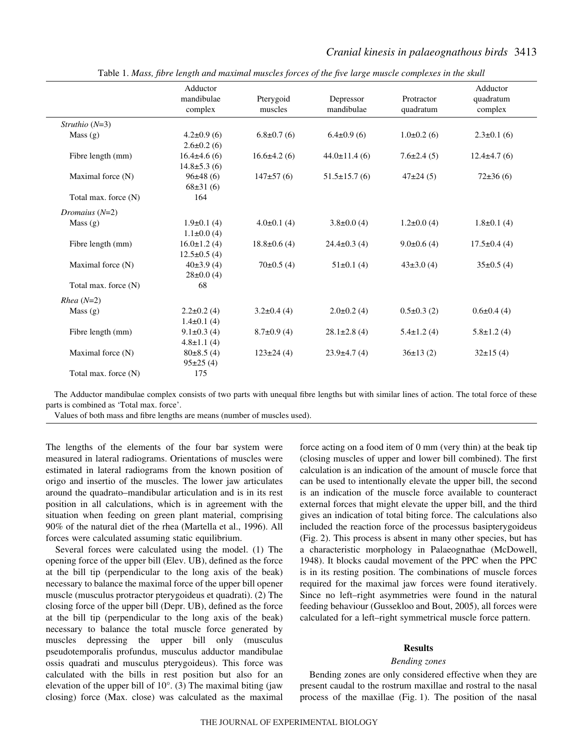|                      | Adductor           |                    |                     |                   | Adductor           |
|----------------------|--------------------|--------------------|---------------------|-------------------|--------------------|
|                      | mandibulae         | Pterygoid          | Depressor           | Protractor        | quadratum          |
|                      | complex            | muscles            | mandibulae          | quadratum         | complex            |
| Struthio $(N=3)$     |                    |                    |                     |                   |                    |
| Mass(g)              | $4.2 \pm 0.9$ (6)  | $6.8 \pm 0.7(6)$   | $6.4\pm0.9(6)$      | $1.0\pm0.2$ (6)   | $2.3 \pm 0.1$ (6)  |
|                      | $2.6 \pm 0.2$ (6)  |                    |                     |                   |                    |
| Fibre length (mm)    | $16.4\pm4.6(6)$    | $16.6\pm4.2(6)$    | $44.0 \pm 11.4$ (6) | $7.6\pm2.4(5)$    | $12.4\pm4.7(6)$    |
|                      | $14.8 \pm 5.3(6)$  |                    |                     |                   |                    |
| Maximal force (N)    | 96±48(6)           | $147\pm57(6)$      | $51.5 \pm 15.7(6)$  | $47\pm24(5)$      | $72\pm36(6)$       |
|                      | $68\pm31(6)$       |                    |                     |                   |                    |
| Total max. force (N) | 164                |                    |                     |                   |                    |
| Dromaius $(N=2)$     |                    |                    |                     |                   |                    |
| Mass $(g)$           | $1.9\pm0.1(4)$     | $4.0\pm0.1(4)$     | $3.8 \pm 0.0$ (4)   | $1.2\pm0.0$ (4)   | $1.8 \pm 0.1$ (4)  |
|                      | $1.1\pm0.0(4)$     |                    |                     |                   |                    |
| Fibre length (mm)    | $16.0 \pm 1.2$ (4) | $18.8 \pm 0.6$ (4) | $24.4\pm0.3$ (4)    | $9.0\pm0.6(4)$    | $17.5 \pm 0.4$ (4) |
|                      | $12.5 \pm 0.5$ (4) |                    |                     |                   |                    |
| Maximal force (N)    | $40\pm3.9(4)$      | $70\pm0.5(4)$      | $51\pm0.1(4)$       | $43\pm3.0(4)$     | $35\pm0.5(4)$      |
|                      | $28\pm0.0(4)$      |                    |                     |                   |                    |
| Total max. force (N) | 68                 |                    |                     |                   |                    |
| $Rhea (N=2)$         |                    |                    |                     |                   |                    |
| Mass $(g)$           | $2.2 \pm 0.2$ (4)  | $3.2\pm0.4(4)$     | $2.0\pm0.2$ (4)     | $0.5 \pm 0.3$ (2) | $0.6 \pm 0.4$ (4)  |
|                      | $1.4\pm0.1(4)$     |                    |                     |                   |                    |
| Fibre length (mm)    | $9.1 \pm 0.3$ (4)  | $8.7\pm0.9(4)$     | $28.1 \pm 2.8$ (4)  | $5.4 \pm 1.2$ (4) | $5.8 \pm 1.2$ (4)  |
|                      | $4.8 \pm 1.1$ (4)  |                    |                     |                   |                    |
| Maximal force (N)    | $80\pm8.5(4)$      | $123\pm 24(4)$     | $23.9\pm4.7(4)$     | 36±13(2)          | $32\pm 15(4)$      |
|                      | $95\pm25(4)$       |                    |                     |                   |                    |
| Total max. force (N) | 175                |                    |                     |                   |                    |

Table 1. *Mass, fibre length and maximal muscles forces of the five large muscle complexes in the skull* 

The Adductor mandibulae complex consists of two parts with unequal fibre lengths but with similar lines of action. The total force of these parts is combined as 'Total max. force'.

Values of both mass and fibre lengths are means (number of muscles used).

The lengths of the elements of the four bar system were measured in lateral radiograms. Orientations of muscles were estimated in lateral radiograms from the known position of origo and insertio of the muscles. The lower jaw articulates around the quadrato–mandibular articulation and is in its rest position in all calculations, which is in agreement with the situation when feeding on green plant material, comprising 90% of the natural diet of the rhea (Martella et al., 1996). All forces were calculated assuming static equilibrium.

Several forces were calculated using the model. (1) The opening force of the upper bill (Elev. UB), defined as the force at the bill tip (perpendicular to the long axis of the beak) necessary to balance the maximal force of the upper bill opener muscle (musculus protractor pterygoideus et quadrati). (2) The closing force of the upper bill (Depr. UB), defined as the force at the bill tip (perpendicular to the long axis of the beak) necessary to balance the total muscle force generated by muscles depressing the upper bill only (musculus pseudotemporalis profundus, musculus adductor mandibulae ossis quadrati and musculus pterygoideus). This force was calculated with the bills in rest position but also for an elevation of the upper bill of  $10^{\circ}$ . (3) The maximal biting (jaw closing) force (Max. close) was calculated as the maximal

force acting on a food item of  $0 \text{ mm}$  (very thin) at the beak tip (closing muscles of upper and lower bill combined). The first calculation is an indication of the amount of muscle force that can be used to intentionally elevate the upper bill, the second is an indication of the muscle force available to counteract external forces that might elevate the upper bill, and the third gives an indication of total biting force. The calculations also included the reaction force of the processus basipterygoideus (Fig. 2). This process is absent in many other species, but has a characteristic morphology in Palaeognathae (McDowell, 1948). It blocks caudal movement of the PPC when the PPC is in its resting position. The combinations of muscle forces required for the maximal jaw forces were found iteratively. Since no left–right asymmetries were found in the natural feeding behaviour (Gussekloo and Bout, 2005), all forces were calculated for a left–right symmetrical muscle force pattern.

### **Results**

### *Bending zones*

Bending zones are only considered effective when they are present caudal to the rostrum maxillae and rostral to the nasal process of the maxillae (Fig. 1). The position of the nasal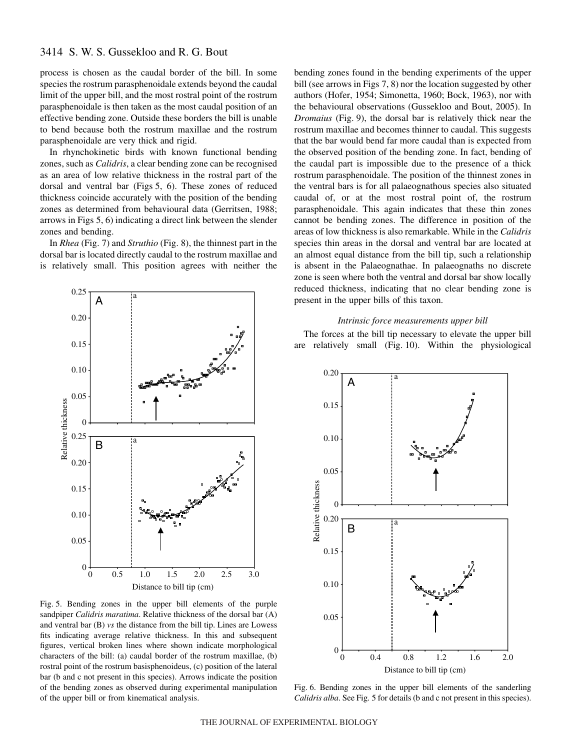# 3414 S. W. S. Gussekloo and R. G. Bout

process is chosen as the caudal border of the bill. In some species the rostrum parasphenoidale extends beyond the caudal limit of the upper bill, and the most rostral point of the rostrum parasphenoidale is then taken as the most caudal position of an effective bending zone. Outside these borders the bill is unable to bend because both the rostrum maxillae and the rostrum parasphenoidale are very thick and rigid.

In rhynchokinetic birds with known functional bending zones, such as *Calidris*, a clear bending zone can be recognised as an area of low relative thickness in the rostral part of the dorsal and ventral bar (Figs 5, 6). These zones of reduced thickness coincide accurately with the position of the bending zones as determined from behavioural data (Gerritsen, 1988; arrows in Figs·5, 6) indicating a direct link between the slender zones and bending.

In *Rhea* (Fig. 7) and *Struthio* (Fig. 8), the thinnest part in the dorsal bar is located directly caudal to the rostrum maxillae and is relatively small. This position agrees with neither the



Fig. 5. Bending zones in the upper bill elements of the purple sandpiper *Calidris maratima*. Relative thickness of the dorsal bar (A) and ventral bar (B) *vs* the distance from the bill tip. Lines are Lowess fits indicating average relative thickness. In this and subsequent figures, vertical broken lines where shown indicate morphological characters of the bill: (a) caudal border of the rostrum maxillae, (b) rostral point of the rostrum basisphenoideus, (c) position of the lateral bar (b and c not present in this species). Arrows indicate the position of the bending zones as observed during experimental manipulation of the upper bill or from kinematical analysis.

bending zones found in the bending experiments of the upper bill (see arrows in Figs 7, 8) nor the location suggested by other authors (Hofer, 1954; Simonetta, 1960; Bock, 1963), nor with the behavioural observations (Gussekloo and Bout, 2005). In *Dromaius* (Fig.·9), the dorsal bar is relatively thick near the rostrum maxillae and becomes thinner to caudal. This suggests that the bar would bend far more caudal than is expected from the observed position of the bending zone. In fact, bending of the caudal part is impossible due to the presence of a thick rostrum parasphenoidale. The position of the thinnest zones in the ventral bars is for all palaeognathous species also situated caudal of, or at the most rostral point of, the rostrum parasphenoidale. This again indicates that these thin zones cannot be bending zones. The difference in position of the areas of low thickness is also remarkable. While in the *Calidris* species thin areas in the dorsal and ventral bar are located at an almost equal distance from the bill tip, such a relationship is absent in the Palaeognathae. In palaeognaths no discrete zone is seen where both the ventral and dorsal bar show locally reduced thickness, indicating that no clear bending zone is present in the upper bills of this taxon.

#### *Intrinsic force measurements upper bill*

The forces at the bill tip necessary to elevate the upper bill are relatively small (Fig. 10). Within the physiological



Fig. 6. Bending zones in the upper bill elements of the sanderling *Calidris alba*. See Fig. 5 for details (b and c not present in this species).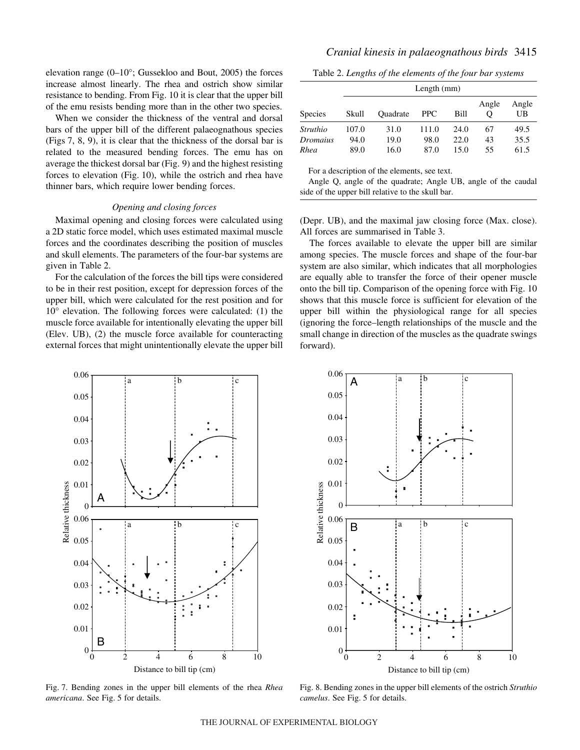elevation range (0–10°; Gussekloo and Bout, 2005) the forces increase almost linearly. The rhea and ostrich show similar resistance to bending. From Fig. 10 it is clear that the upper bill of the emu resists bending more than in the other two species.

When we consider the thickness of the ventral and dorsal bars of the upper bill of the different palaeognathous species (Figs  $7, 8, 9$ ), it is clear that the thickness of the dorsal bar is related to the measured bending forces. The emu has on average the thickest dorsal bar (Fig. 9) and the highest resisting forces to elevation (Fig. 10), while the ostrich and rhea have thinner bars, which require lower bending forces.

### *Opening and closing forces*

Maximal opening and closing forces were calculated using a 2D static force model, which uses estimated maximal muscle forces and the coordinates describing the position of muscles and skull elements. The parameters of the four-bar systems are given in Table 2.

For the calculation of the forces the bill tips were considered to be in their rest position, except for depression forces of the upper bill, which were calculated for the rest position and for 10° elevation. The following forces were calculated: (1) the muscle force available for intentionally elevating the upper bill (Elev. UB), (2) the muscle force available for counteracting external forces that might unintentionally elevate the upper bill

Table 2. *Lengths of the elements of the four bar systems* 

|                 | Length $(mm)$ |          |            |      |       |             |  |
|-----------------|---------------|----------|------------|------|-------|-------------|--|
| <b>Species</b>  | Skull         | Ouadrate | <b>PPC</b> | Bill | Angle | Angle<br>UB |  |
| Struthio        | 107.0         | 31.0     | 111.0      | 24.0 | 67    | 49.5        |  |
| <i>Dromaius</i> | 94.0          | 19.0     | 98.0       | 22.0 | 43    | 35.5        |  |
| Rhea            | 89.0          | 16.0     | 87.0       | 15.0 | 55    | 61.5        |  |

For a description of the elements, see text.

Angle Q, angle of the quadrate; Angle UB, angle of the caudal side of the upper bill relative to the skull bar.

(Depr. UB), and the maximal jaw closing force (Max. close). All forces are summarised in Table 3.

The forces available to elevate the upper bill are similar among species. The muscle forces and shape of the four-bar system are also similar, which indicates that all morphologies are equally able to transfer the force of their opener muscle onto the bill tip. Comparison of the opening force with Fig. 10 shows that this muscle force is sufficient for elevation of the upper bill within the physiological range for all species (ignoring the force–length relationships of the muscle and the small change in direction of the muscles as the quadrate swings forward).



Fig. 7. Bending zones in the upper bill elements of the rhea *Rhea americana*. See Fig. 5 for details.



Fig. 8. Bending zones in the upper bill elements of the ostrich *Struthio camelus*. See Fig. 5 for details.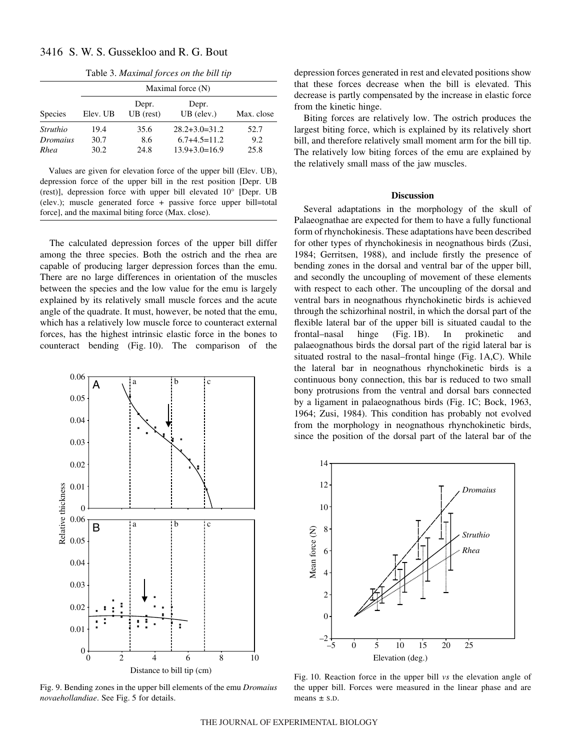# 3416 S. W. S. Gussekloo and R. G. Bout

Table 3. *Maximal forces on the bill tip* 

|                 | Maximal force (N) |                      |                       |            |  |  |
|-----------------|-------------------|----------------------|-----------------------|------------|--|--|
| <b>Species</b>  | Elev. UB          | Depr.<br>$UB$ (rest) | Depr.<br>$UB$ (elev.) | Max. close |  |  |
| <i>Struthio</i> | 19.4              | 35.6                 | $28.2 + 3.0 = 31.2$   | 52.7       |  |  |
| Dromaius        | 30.7              | 8.6                  | $6.7 + 4.5 = 11.2$    | 9.2        |  |  |
| Rhea            | 30.2              | 24.8                 | $13.9 + 3.0 = 16.9$   | 25.8       |  |  |

Values are given for elevation force of the upper bill (Elev. UB), depression force of the upper bill in the rest position [Depr. UB (rest)], depression force with upper bill elevated 10° [Depr. UB (elev.); muscle generated force + passive force upper bill=total force], and the maximal biting force (Max. close).

The calculated depression forces of the upper bill differ among the three species. Both the ostrich and the rhea are capable of producing larger depression forces than the emu. There are no large differences in orientation of the muscles between the species and the low value for the emu is largely explained by its relatively small muscle forces and the acute angle of the quadrate. It must, however, be noted that the emu, which has a relatively low muscle force to counteract external forces, has the highest intrinsic elastic force in the bones to counteract bending (Fig. 10). The comparison of the



Fig. 9. Bending zones in the upper bill elements of the emu *Dromaius novaehollandiae*. See Fig. 5 for details.

depression forces generated in rest and elevated positions show that these forces decrease when the bill is elevated. This decrease is partly compensated by the increase in elastic force from the kinetic hinge.

Biting forces are relatively low. The ostrich produces the largest biting force, which is explained by its relatively short bill, and therefore relatively small moment arm for the bill tip. The relatively low biting forces of the emu are explained by the relatively small mass of the jaw muscles.

### **Discussion**

Several adaptations in the morphology of the skull of Palaeognathae are expected for them to have a fully functional form of rhynchokinesis. These adaptations have been described for other types of rhynchokinesis in neognathous birds (Zusi, 1984; Gerritsen, 1988), and include firstly the presence of bending zones in the dorsal and ventral bar of the upper bill, and secondly the uncoupling of movement of these elements with respect to each other. The uncoupling of the dorsal and ventral bars in neognathous rhynchokinetic birds is achieved through the schizorhinal nostril, in which the dorsal part of the flexible lateral bar of the upper bill is situated caudal to the frontal–nasal hinge (Fig. 1B). In prokinetic and palaeognathous birds the dorsal part of the rigid lateral bar is situated rostral to the nasal–frontal hinge (Fig. 1A,C). While the lateral bar in neognathous rhynchokinetic birds is a continuous bony connection, this bar is reduced to two small bony protrusions from the ventral and dorsal bars connected by a ligament in palaeognathous birds (Fig. 1C; Bock, 1963, 1964; Zusi, 1984). This condition has probably not evolved from the morphology in neognathous rhynchokinetic birds, since the position of the dorsal part of the lateral bar of the



Fig. 10. Reaction force in the upper bill *vs* the elevation angle of the upper bill. Forces were measured in the linear phase and are means  $\pm$  S.D.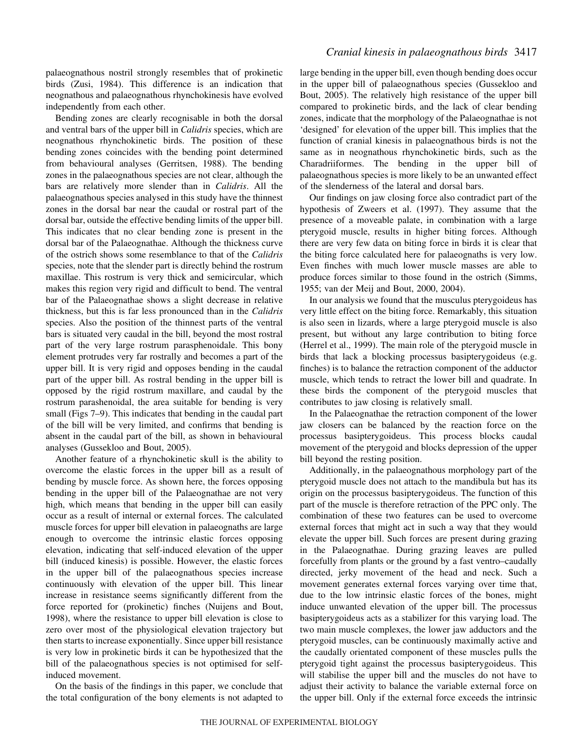palaeognathous nostril strongly resembles that of prokinetic birds (Zusi, 1984). This difference is an indication that neognathous and palaeognathous rhynchokinesis have evolved independently from each other.

Bending zones are clearly recognisable in both the dorsal and ventral bars of the upper bill in *Calidris* species, which are neognathous rhynchokinetic birds. The position of these bending zones coincides with the bending point determined from behavioural analyses (Gerritsen, 1988). The bending zones in the palaeognathous species are not clear, although the bars are relatively more slender than in *Calidris*. All the palaeognathous species analysed in this study have the thinnest zones in the dorsal bar near the caudal or rostral part of the dorsal bar, outside the effective bending limits of the upper bill. This indicates that no clear bending zone is present in the dorsal bar of the Palaeognathae. Although the thickness curve of the ostrich shows some resemblance to that of the *Calidris* species, note that the slender part is directly behind the rostrum maxillae. This rostrum is very thick and semicircular, which makes this region very rigid and difficult to bend. The ventral bar of the Palaeognathae shows a slight decrease in relative thickness, but this is far less pronounced than in the *Calidris* species. Also the position of the thinnest parts of the ventral bars is situated very caudal in the bill, beyond the most rostral part of the very large rostrum parasphenoidale. This bony element protrudes very far rostrally and becomes a part of the upper bill. It is very rigid and opposes bending in the caudal part of the upper bill. As rostral bending in the upper bill is opposed by the rigid rostrum maxillare, and caudal by the rostrum parashenoidal, the area suitable for bending is very small (Figs 7–9). This indicates that bending in the caudal part of the bill will be very limited, and confirms that bending is absent in the caudal part of the bill, as shown in behavioural analyses (Gussekloo and Bout, 2005).

Another feature of a rhynchokinetic skull is the ability to overcome the elastic forces in the upper bill as a result of bending by muscle force. As shown here, the forces opposing bending in the upper bill of the Palaeognathae are not very high, which means that bending in the upper bill can easily occur as a result of internal or external forces. The calculated muscle forces for upper bill elevation in palaeognaths are large enough to overcome the intrinsic elastic forces opposing elevation, indicating that self-induced elevation of the upper bill (induced kinesis) is possible. However, the elastic forces in the upper bill of the palaeognathous species increase continuously with elevation of the upper bill. This linear increase in resistance seems significantly different from the force reported for (prokinetic) finches (Nuijens and Bout, 1998), where the resistance to upper bill elevation is close to zero over most of the physiological elevation trajectory but then starts to increase exponentially. Since upper bill resistance is very low in prokinetic birds it can be hypothesized that the bill of the palaeognathous species is not optimised for selfinduced movement.

On the basis of the findings in this paper, we conclude that the total configuration of the bony elements is not adapted to

large bending in the upper bill, even though bending does occur in the upper bill of palaeognathous species (Gussekloo and Bout, 2005). The relatively high resistance of the upper bill compared to prokinetic birds, and the lack of clear bending zones, indicate that the morphology of the Palaeognathae is not 'designed' for elevation of the upper bill. This implies that the function of cranial kinesis in palaeognathous birds is not the same as in neognathous rhynchokinetic birds, such as the Charadriiformes. The bending in the upper bill of palaeognathous species is more likely to be an unwanted effect of the slenderness of the lateral and dorsal bars.

Our findings on jaw closing force also contradict part of the hypothesis of Zweers et al. (1997). They assume that the presence of a moveable palate, in combination with a large pterygoid muscle, results in higher biting forces. Although there are very few data on biting force in birds it is clear that the biting force calculated here for palaeognaths is very low. Even finches with much lower muscle masses are able to produce forces similar to those found in the ostrich (Simms, 1955; van der Meij and Bout, 2000, 2004).

In our analysis we found that the musculus pterygoideus has very little effect on the biting force. Remarkably, this situation is also seen in lizards, where a large pterygoid muscle is also present, but without any large contribution to biting force (Herrel et al., 1999). The main role of the pterygoid muscle in birds that lack a blocking processus basipterygoideus (e.g. finches) is to balance the retraction component of the adductor muscle, which tends to retract the lower bill and quadrate. In these birds the component of the pterygoid muscles that contributes to jaw closing is relatively small.

In the Palaeognathae the retraction component of the lower jaw closers can be balanced by the reaction force on the processus basipterygoideus. This process blocks caudal movement of the pterygoid and blocks depression of the upper bill beyond the resting position.

Additionally, in the palaeognathous morphology part of the pterygoid muscle does not attach to the mandibula but has its origin on the processus basipterygoideus. The function of this part of the muscle is therefore retraction of the PPC only. The combination of these two features can be used to overcome external forces that might act in such a way that they would elevate the upper bill. Such forces are present during grazing in the Palaeognathae. During grazing leaves are pulled forcefully from plants or the ground by a fast ventro–caudally directed, jerky movement of the head and neck. Such a movement generates external forces varying over time that, due to the low intrinsic elastic forces of the bones, might induce unwanted elevation of the upper bill. The processus basipterygoideus acts as a stabilizer for this varying load. The two main muscle complexes, the lower jaw adductors and the pterygoid muscles, can be continuously maximally active and the caudally orientated component of these muscles pulls the pterygoid tight against the processus basipterygoideus. This will stabilise the upper bill and the muscles do not have to adjust their activity to balance the variable external force on the upper bill. Only if the external force exceeds the intrinsic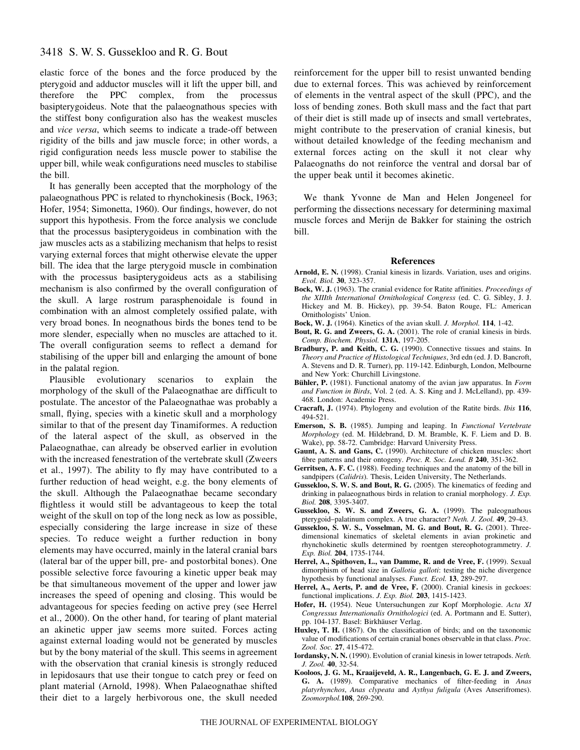elastic force of the bones and the force produced by the pterygoid and adductor muscles will it lift the upper bill, and therefore the PPC complex, from the processus basipterygoideus. Note that the palaeognathous species with the stiffest bony configuration also has the weakest muscles and *vice versa*, which seems to indicate a trade-off between rigidity of the bills and jaw muscle force; in other words, a rigid configuration needs less muscle power to stabilise the upper bill, while weak configurations need muscles to stabilise the bill.

It has generally been accepted that the morphology of the palaeognathous PPC is related to rhynchokinesis (Bock, 1963; Hofer, 1954; Simonetta, 1960). Our findings, however, do not support this hypothesis. From the force analysis we conclude that the processus basipterygoideus in combination with the jaw muscles acts as a stabilizing mechanism that helps to resist varying external forces that might otherwise elevate the upper bill. The idea that the large pterygoid muscle in combination with the processus basipterygoideus acts as a stabilising mechanism is also confirmed by the overall configuration of the skull. A large rostrum parasphenoidale is found in combination with an almost completely ossified palate, with very broad bones. In neognathous birds the bones tend to be more slender, especially when no muscles are attached to it. The overall configuration seems to reflect a demand for stabilising of the upper bill and enlarging the amount of bone in the palatal region.

Plausible evolutionary scenarios to explain the morphology of the skull of the Palaeognathae are difficult to postulate. The ancestor of the Palaeognathae was probably a small, flying, species with a kinetic skull and a morphology similar to that of the present day Tinamiformes. A reduction of the lateral aspect of the skull, as observed in the Palaeognathae, can already be observed earlier in evolution with the increased fenestration of the vertebrate skull (Zweers et al., 1997). The ability to fly may have contributed to a further reduction of head weight, e.g. the bony elements of the skull. Although the Palaeognathae became secondary flightless it would still be advantageous to keep the total weight of the skull on top of the long neck as low as possible, especially considering the large increase in size of these species. To reduce weight a further reduction in bony elements may have occurred, mainly in the lateral cranial bars (lateral bar of the upper bill, pre- and postorbital bones). One possible selective force favouring a kinetic upper beak may be that simultaneous movement of the upper and lower jaw increases the speed of opening and closing. This would be advantageous for species feeding on active prey (see Herrel et al., 2000). On the other hand, for tearing of plant material an akinetic upper jaw seems more suited. Forces acting against external loading would not be generated by muscles but by the bony material of the skull. This seems in agreement with the observation that cranial kinesis is strongly reduced in lepidosaurs that use their tongue to catch prey or feed on plant material (Arnold, 1998). When Palaeognathae shifted their diet to a largely herbivorous one, the skull needed reinforcement for the upper bill to resist unwanted bending due to external forces. This was achieved by reinforcement of elements in the ventral aspect of the skull (PPC), and the loss of bending zones. Both skull mass and the fact that part of their diet is still made up of insects and small vertebrates, might contribute to the preservation of cranial kinesis, but without detailed knowledge of the feeding mechanism and external forces acting on the skull it not clear why Palaeognaths do not reinforce the ventral and dorsal bar of the upper beak until it becomes akinetic.

We thank Yvonne de Man and Helen Jongeneel for performing the dissections necessary for determining maximal muscle forces and Merijn de Bakker for staining the ostrich bill.

#### **References**

- **Arnold, E. N.** (1998). Cranial kinesis in lizards. Variation, uses and origins. *Evol. Biol.* **30**, 323-357.
- **Bock, W. J.** (1963). The cranial evidence for Ratite affinities. *Proceedings of the XIIIth International Ornithological Congress* (ed. C. G. Sibley, J. J. Hickey and M. B. Hickey), pp. 39-54. Baton Rouge, FL: American Ornithologists' Union.
- **Bock, W. J.** (1964). Kinetics of the avian skull. *J. Morphol.* **114**, 1-42.
- **Bout, R. G. and Zweers, G. A.** (2001). The role of cranial kinesis in birds. *Comp. Biochem. Physiol.* **131A**, 197-205.
- **Bradbury, P. and Keith, C. G.** (1990). Connective tissues and stains. In *Theory and Practice of Histological Techniques*, 3rd edn (ed. J. D. Bancroft, A. Stevens and D. R. Turner), pp. 119-142. Edinburgh, London, Melbourne and New York: Churchill Livingstone.
- **Bühler, P.** (1981). Functional anatomy of the avian jaw apparatus. In *Form and Function in Birds*, Vol. 2 (ed. A. S. King and J. McLelland), pp. 439- 468. London: Academic Press.
- **Cracraft, J.** (1974). Phylogeny and evolution of the Ratite birds. *Ibis* **116**, 494-521.
- **Emerson, S. B.** (1985). Jumping and leaping. In *Functional Vertebrate Morphology* (ed. M. Hildebrand, D. M. Bramble, K. F. Liem and D. B. Wake), pp. 58-72. Cambridge: Harvard University Press.
- **Gaunt, A. S. and Gans, C.** (1990). Architecture of chicken muscles: short fibre patterns and their ontogeny. *Proc. R. Soc. Lond. B* **240**, 351-362.
- **Gerritsen, A. F. C.** (1988). Feeding techniques and the anatomy of the bill in sandpipers (*Calidris*)*.* Thesis, Leiden University, The Netherlands.
- **Gussekloo, S. W. S. and Bout, R. G.** (2005). The kinematics of feeding and drinking in palaeognathous birds in relation to cranial morphology. *J. Exp. Biol.* **208**, 3395-3407.
- **Gussekloo, S. W. S. and Zweers, G. A.** (1999). The paleognathous pterygoid–palatinum complex. A true character? *Neth. J. Zool.* **49**, 29-43.
- **Gussekloo, S. W. S., Vosselman, M. G. and Bout, R. G.** (2001). Threedimensional kinematics of skeletal elements in avian prokinetic and rhynchokinetic skulls determined by roentgen stereophotogrammetry. *J. Exp. Biol.* **204**, 1735-1744.
- **Herrel, A., Spithoven, L., van Damme, R. and de Vree, F.** (1999). Sexual dimorphism of head size in *Gallotia galloti*: testing the niche divergence hypothesis by functional analyses. *Funct. Ecol.* **13**, 289-297.
- **Herrel, A., Aerts, P. and de Vree, F.** (2000). Cranial kinesis in geckoes: functional implications. *J.·Exp. Biol.* **203**, 1415-1423.
- **Hofer, H.** (1954). Neue Untersuchungen zur Kopf Morphologie. *Acta XI Congressus Internationalis Ornithologici* (ed. A. Portmann and E. Sutter), pp. 104-137. Basel: Birkhäuser Verlag.
- Huxley, T. H. (1867). On the classification of birds; and on the taxonomic value of modifications of certain cranial bones observable in that class. *Proc. Zool. Soc.* **27**, 415-472.
- **Iordansky, N. N.** (1990). Evolution of cranial kinesis in lower tetrapods. *Neth. J. Zool.* **40**, 32-54.
- **Kooloos, J. G. M., Kraaijeveld, A. R., Langenbach, G. E. J. and Zweers, G. A.** (1989). Comparative mechanics of filter-feeding in *Anas platyrhynchos*, *Anas clypeata* and *Aythya fuligula* (Aves Anserifromes). *Zoomorphol.***108**, 269-290.